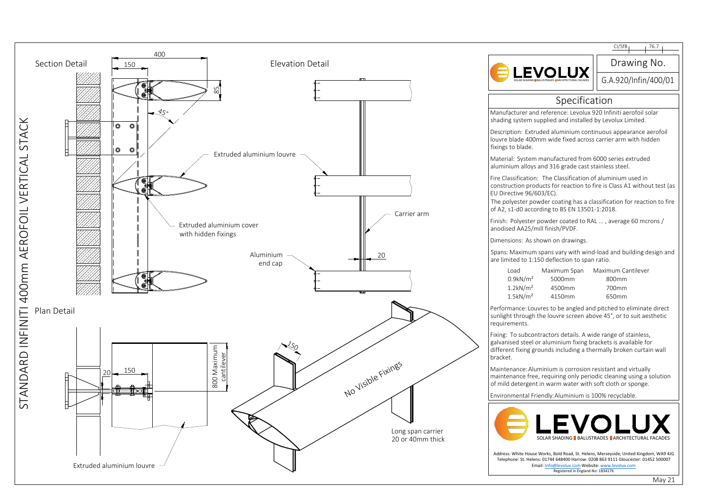

|                                                                                                                                                                                                                                                                                           | CI/SfB <sub>1</sub><br>76.7                         |
|-------------------------------------------------------------------------------------------------------------------------------------------------------------------------------------------------------------------------------------------------------------------------------------------|-----------------------------------------------------|
|                                                                                                                                                                                                                                                                                           | Drawing No.                                         |
|                                                                                                                                                                                                                                                                                           | G.A.920/Infin/400/01                                |
| Specification                                                                                                                                                                                                                                                                             |                                                     |
| Aanufacturer and reference: Levolux 920 Infiniti aerofoil solar<br>hading system supplied and installed by Levolux Limited.                                                                                                                                                               |                                                     |
| escription: Extruded aluminium continuous appearance aerofoil<br>ouvre blade 400mm wide fixed across carrier arm with hidden<br>ixings to blade.                                                                                                                                          |                                                     |
| Aaterial: System manufactured from 6000 series extruded<br>luminium alloys and 316 grade cast stainless steel.                                                                                                                                                                            |                                                     |
| ire Classification: The Classification of aluminium used in<br>onstruction products for reaction to fire is Class A1 without test (as<br>U Directive 96/603/EC).<br>he polyester powder coating has a classification for reaction to fire<br>f A2, s1-d0 according to BS EN 13501-1:2018. |                                                     |
| inish: Polyester powder coated to RAL , average 60 mcrons /<br>nodised AA25/mill finish/PVDF.                                                                                                                                                                                             |                                                     |
| imensions: As shown on drawings.                                                                                                                                                                                                                                                          |                                                     |
| pans: Maximum spans vary with wind-load and building design and<br>re limited to 1:150 deflection to span ratio.                                                                                                                                                                          |                                                     |
| Load<br>Maximum Span<br>$0.9$ kN/m <sup>2</sup><br>5000mm<br>$1.2$ kN/m <sup>2</sup><br>4500mm<br>$1.5$ kN/ $m2$<br>4150mm                                                                                                                                                                | Maximum Cantilever<br>800mm<br>700mm<br>650mm       |
| erformance: Louvres to be angled and pitched to eliminate direct<br>unlight through the louvre screen above 45°, or to suit aesthetic<br>equirements.                                                                                                                                     |                                                     |
| ixing: To subcontractors details. A wide range of stainless,<br>alvanised steel or aluminium fixing brackets is available for<br>lifferent fixing grounds including a thermally broken curtain wall<br>racket.                                                                            |                                                     |
| Aaintenance: Aluminium is corrosion resistant and virtually<br>naintenance free, requiring only periodic cleaning using a solution<br>of mild detergent in warm water with soft cloth or sponge.                                                                                          |                                                     |
|                                                                                                                                                                                                                                                                                           | nvironmental Friendly:Aluminium is 100% recyclable. |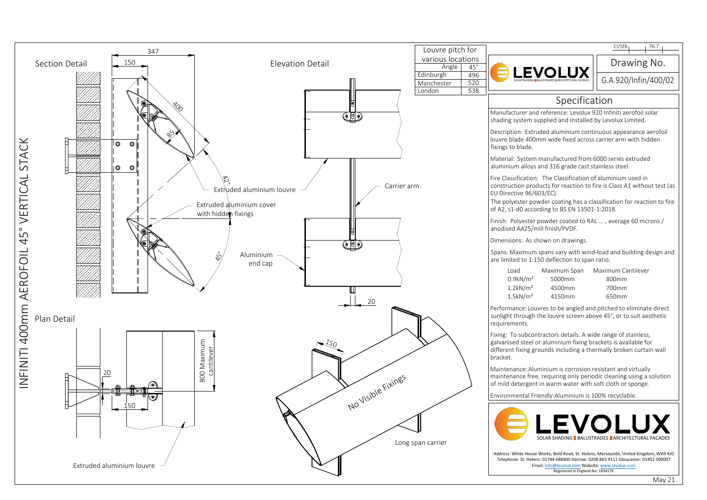